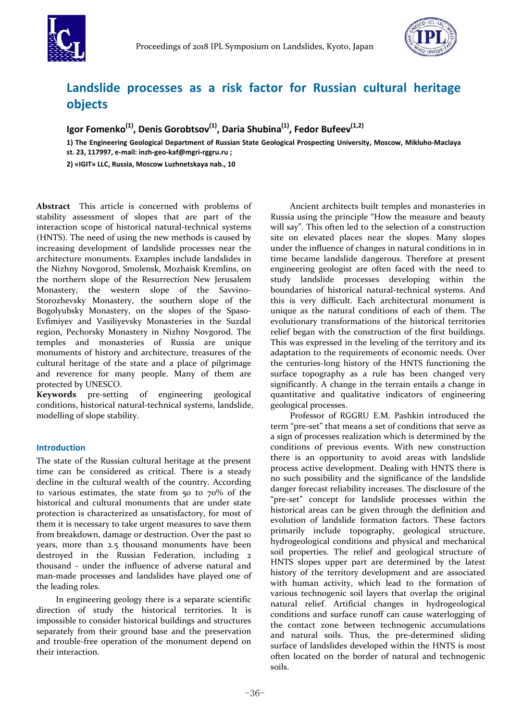



# **Landslide processes as a risk factor for Russian cultural heritage objects**

**Igor Fomenko(1), Denis Gorobtsov(1), Daria Shubina(1), Fedor Bufeev(1,2)**

**1) The Engineering Geological Department of Russian State Geological Prospecting University, Moscow, Mikluho‐Maclaya st. 23, 117997, e‐mail: inzh‐geo‐kaf@mgri‐rggru.ru ;**

**2) «IGIT» LLC, Russia, Moscow Luzhnetskaya nab., 10** 

**Abstract** This article is concerned with problems of stability assessment of slopes that are part of the interaction scope of historical natural‐technical systems (HNTS). The need of using the new methods is caused by increasing development of landslide processes near the architecture monuments. Examples include landslides in the Nizhny Novgorod, Smolensk, Mozhaisk Kremlins, on the northern slope of the Resurrection New Jerusalem Monastery, the western slope of the Savvino-Storozhevsky Monastery, the southern slope of the Bogolyubsky Monastery, on the slopes of the Spaso‐ Evfimiyev and Vasiliyevsky Monasteries in the Suzdal region, Pechorsky Monastery in Nizhny Novgorod. The temples and monasteries of Russia are unique monuments of history and architecture, treasures of the cultural heritage of the state and a place of pilgrimage and reverence for many people. Many of them are protected by UNESCO.

**Keywords** pre‐setting of engineering geological conditions, historical natural‐technical systems, landslide, modelling of slope stability.

## **Introduction**

The state of the Russian cultural heritage at the present time can be considered as critical. There is a steady decline in the cultural wealth of the country. According to various estimates, the state from 50 to 70% of the historical and cultural monuments that are under state protection is characterized as unsatisfactory, for most of them it is necessary to take urgent measures to save them from breakdown, damage or destruction. Over the past 10 years, more than 2.5 thousand monuments have been destroyed in the Russian Federation, including 2 thousand - under the influence of adverse natural and man‐made processes and landslides have played one of the leading roles.

In engineering geology there is a separate scientific direction of study the historical territories. It is impossible to consider historical buildings and structures separately from their ground base and the preservation and trouble‐free operation of the monument depend on their interaction.

Ancient architects built temples and monasteries in Russia using the principle "How the measure and beauty will say". This often led to the selection of a construction site on elevated places near the slopes. Many slopes under the influence of changes in natural conditions in in time became landslide dangerous. Therefore at present engineering geologist are often faced with the need to study landslide processes developing within the boundaries of historical natural-technical systems. And this is very difficult. Each architectural monument is unique as the natural conditions of each of them. The evolutionary transformations of the historical territories relief began with the construction of the first buildings. This was expressed in the leveling of the territory and its adaptation to the requirements of economic needs. Over the centuries‐long history of the HNTS functioning the surface topography as a rule has been changed very significantly. A change in the terrain entails a change in quantitative and qualitative indicators of engineering geological processes.

Professor of RGGRU E.M. Pashkin introduced the term "pre‐set" that means a set of conditions that serve as a sign of processes realization which is determined by the conditions of previous events. With new construction there is an opportunity to avoid areas with landslide process active development. Dealing with HNTS there is no such possibility and the significance of the landslide danger forecast reliability increases. The disclosure of the "pre‐set" concept for landslide processes within the historical areas can be given through the definition and evolution of landslide formation factors. These factors primarily include topography, geological structure, hydrogeological conditions and physical and mechanical soil properties. The relief and geological structure of HNTS slopes upper part are determined by the latest history of the territory development and are associated with human activity, which lead to the formation of various technogenic soil layers that overlap the original natural relief. Artificial changes in hydrogeological conditions and surface runoff can cause waterlogging of the contact zone between technogenic accumulations and natural soils. Thus, the pre‐determined sliding surface of landslides developed within the HNTS is most often located on the border of natural and technogenic soils.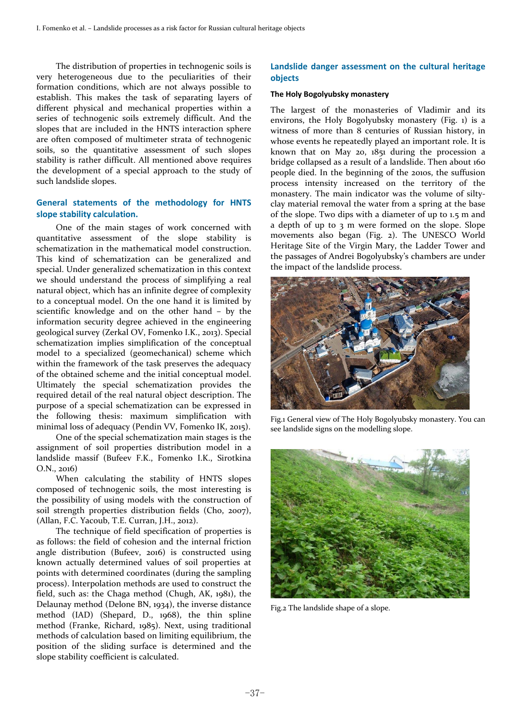The distribution of properties in technogenic soils is very heterogeneous due to the peculiarities of their formation conditions, which are not always possible to establish. This makes the task of separating layers of different physical and mechanical properties within a series of technogenic soils extremely difficult. And the slopes that are included in the HNTS interaction sphere are often composed of multimeter strata of technogenic soils, so the quantitative assessment of such slopes stability is rather difficult. All mentioned above requires the development of a special approach to the study of such landslide slopes.

## **General statements of the methodology for HNTS slope stability calculation.**

One of the main stages of work concerned with quantitative assessment of the slope stability is schematization in the mathematical model construction. This kind of schematization can be generalized and special. Under generalized schematization in this context we should understand the process of simplifying a real natural object, which has an infinite degree of complexity to a conceptual model. On the one hand it is limited by scientific knowledge and on the other hand – by the information security degree achieved in the engineering geological survey (Zerkal OV, Fomenko I.K., 2013). Special schematization implies simplification of the conceptual model to a specialized (geomechanical) scheme which within the framework of the task preserves the adequacy of the obtained scheme and the initial conceptual model. Ultimately the special schematization provides the required detail of the real natural object description. The purpose of a special schematization can be expressed in the following thesis: maximum simplification with minimal loss of adequacy (Pendin VV, Fomenko IK, 2015).

One of the special schematization main stages is the assignment of soil properties distribution model in a landslide massif (Bufeev F.K., Fomenko I.K., Sirotkina O.N., 2016)

When calculating the stability of HNTS slopes composed of technogenic soils, the most interesting is the possibility of using models with the construction of soil strength properties distribution fields (Cho, 2007), (Allan, F.C. Yacoub, T.E. Curran, J.H., 2012).

The technique of field specification of properties is as follows: the field of cohesion and the internal friction angle distribution (Bufeev, 2016) is constructed using known actually determined values of soil properties at points with determined coordinates (during the sampling process). Interpolation methods are used to construct the field, such as: the Chaga method (Chugh, AK, 1981), the Delaunay method (Delone BN, 1934), the inverse distance method (IAD) (Shepard, D., 1968), the thin spline method (Franke, Richard, 1985). Next, using traditional methods of calculation based on limiting equilibrium, the position of the sliding surface is determined and the slope stability coefficient is calculated.

## **Landslide danger assessment on the cultural heritage objects**

#### **The Holy Bogolyubsky monastery**

The largest of the monasteries of Vladimir and its environs, the Holy Bogolyubsky monastery (Fig. 1) is a witness of more than 8 centuries of Russian history, in whose events he repeatedly played an important role. It is known that on May 20, 1851 during the procession a bridge collapsed as a result of a landslide. Then about 160 people died. In the beginning of the 2010s, the suffusion process intensity increased on the territory of the monastery. The main indicator was the volume of siltyclay material removal the water from a spring at the base of the slope. Two dips with a diameter of up to 1.5 m and a depth of up to 3 m were formed on the slope. Slope movements also began (Fig. 2). The UNESCO World Heritage Site of the Virgin Mary, the Ladder Tower and the passages of Andrei Bogolyubsky's chambers are under the impact of the landslide process.



Fig.1 General view of The Holy Bogolyubsky monastery. You can see landslide signs on the modelling slope.



Fig.2 The landslide shape of a slope.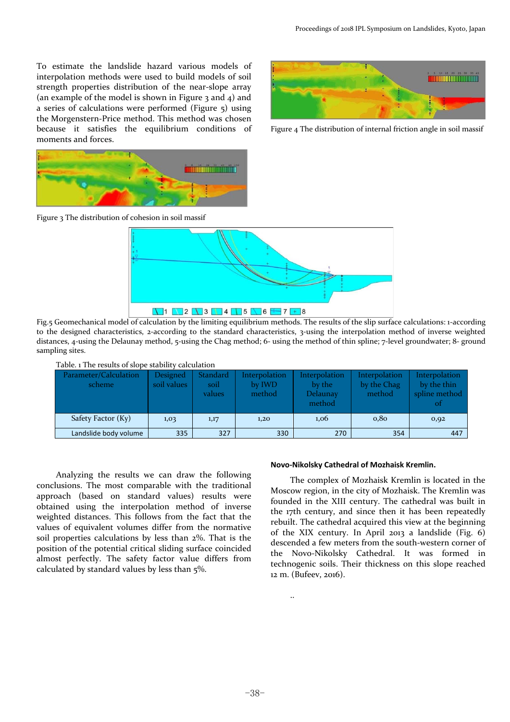To estimate the landslide hazard various models of interpolation methods were used to build models of soil strength properties distribution of the near‐slope array (an example of the model is shown in Figure 3 and 4) and a series of calculations were performed (Figure 5) using the Morgenstern‐Price method. This method was chosen because it satisfies the equilibrium conditions of moments and forces.



Figure 4 The distribution of internal friction angle in soil massif



Figure 3 The distribution of cohesion in soil massif



Fig.5 Geomechanical model of calculation by the limiting equilibrium methods. The results of the slip surface calculations: 1‐according to the designed characteristics, 2-according to the standard characteristics, 3-using the interpolation method of inverse weighted distances, 4-using the Delaunay method, 5-using the Chag method; 6-using the method of thin spline; 7-level groundwater; 8- ground sampling sites.



| Parameter/Calculation<br>scheme | <b>Designed</b><br>soil values | <b>Standard</b><br>soil<br>values | Interpolation<br>by IWD<br>method | Interpolation<br>by the<br><b>Delaunay</b><br>method | Interpolation<br>by the Chag<br>method | <b>Interpolation</b><br>by the thin<br>spline method<br>ot |
|---------------------------------|--------------------------------|-----------------------------------|-----------------------------------|------------------------------------------------------|----------------------------------------|------------------------------------------------------------|
| Safety Factor (Ky)              | 1,03                           | 1,17                              | 1,20                              | 1,06                                                 | 0,80                                   | 0,92                                                       |
| Landslide body volume           | 335                            | 327                               | 330                               | 270                                                  | 354                                    | 447                                                        |

Analyzing the results we can draw the following conclusions. The most comparable with the traditional approach (based on standard values) results were obtained using the interpolation method of inverse weighted distances. This follows from the fact that the values of equivalent volumes differ from the normative soil properties calculations by less than 2%. That is the position of the potential critical sliding surface coincided almost perfectly. The safety factor value differs from calculated by standard values by less than 5%.

#### **Novo‐Nikolsky Cathedral of Mozhaisk Kremlin.**

The complex of Mozhaisk Kremlin is located in the Moscow region, in the city of Mozhaisk. The Kremlin was founded in the XIII century. The cathedral was built in the 17th century, and since then it has been repeatedly rebuilt. The cathedral acquired this view at the beginning of the XIX century. In April 2013 a landslide (Fig. 6) descended a few meters from the south-western corner of the Novo‐Nikolsky Cathedral. It was formed in technogenic soils. Their thickness on this slope reached 12 m. (Bufeev, 2016).

..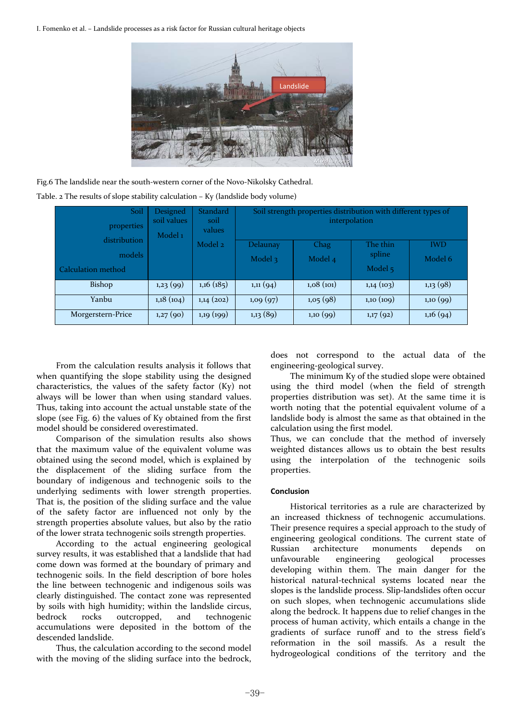I. Fomenko et al. – Landslide processes as a risk factor for Russian cultural heritage objects



Fig.6 The landslide near the south-western corner of the Novo-Nikolsky Cathedral. Table. 2 The results of slope stability calculation – Ky (landslide body volume)

| Soil<br>properties | Designed<br>soil values<br>Model <sub>1</sub> | Standard<br>soil<br>values | Soil strength properties distribution with different types of<br>interpolation |           |           |            |
|--------------------|-----------------------------------------------|----------------------------|--------------------------------------------------------------------------------|-----------|-----------|------------|
| distribution       |                                               | Model 2                    | Delaunay                                                                       | Chag      | The thin  | <b>IWD</b> |
| models             |                                               |                            | Model $\overline{3}$                                                           | Model 4   | spline    | Model 6    |
| Calculation method |                                               |                            |                                                                                |           | Model 5   |            |
| Bishop             | 1,23(99)                                      | 1,16(185)                  | 1, 11(94)                                                                      | 1,08(101) | 1,14(103) | 1,13(98)   |
| Yanbu              | 1,18(104)                                     | $1,14$ (202)               | 1,09(97)                                                                       | 1,05(98)  | 1,10(109) | 1,10(99)   |
| Morgerstern-Price  | 1,27(90)                                      | 1,19(199)                  | 1,13(89)                                                                       | 1,10(99)  | 1,17(92)  | 1,16(94)   |

From the calculation results analysis it follows that when quantifying the slope stability using the designed characteristics, the values of the safety factor (Ky) not always will be lower than when using standard values. Thus, taking into account the actual unstable state of the slope (see Fig. 6) the values of Ky obtained from the first model should be considered overestimated.

Comparison of the simulation results also shows that the maximum value of the equivalent volume was obtained using the second model, which is explained by the displacement of the sliding surface from the boundary of indigenous and technogenic soils to the underlying sediments with lower strength properties. That is, the position of the sliding surface and the value of the safety factor are influenced not only by the strength properties absolute values, but also by the ratio of the lower strata technogenic soils strength properties.

According to the actual engineering geological survey results, it was established that a landslide that had come down was formed at the boundary of primary and technogenic soils. In the field description of bore holes the line between technogenic and indigenous soils was clearly distinguished. The contact zone was represented by soils with high humidity; within the landslide circus, bedrock rocks outcropped, and technogenic accumulations were deposited in the bottom of the descended landslide.

Thus, the calculation according to the second model with the moving of the sliding surface into the bedrock,

does not correspond to the actual data of the engineering‐geological survey.

The minimum Ky of the studied slope were obtained using the third model (when the field of strength properties distribution was set). At the same time it is worth noting that the potential equivalent volume of a landslide body is almost the same as that obtained in the calculation using the first model.

Thus, we can conclude that the method of inversely weighted distances allows us to obtain the best results using the interpolation of the technogenic soils properties.

### **Conclusion**

Historical territories as a rule are characterized by an increased thickness of technogenic accumulations. Their presence requires a special approach to the study of engineering geological conditions. The current state of Russian architecture monuments depends on unfavourable engineering geological processes developing within them. The main danger for the historical natural-technical systems located near the slopes is the landslide process. Slip‐landslides often occur on such slopes, when technogenic accumulations slide along the bedrock. It happens due to relief changes in the process of human activity, which entails a change in the gradients of surface runoff and to the stress field's reformation in the soil massifs. As a result the hydrogeological conditions of the territory and the